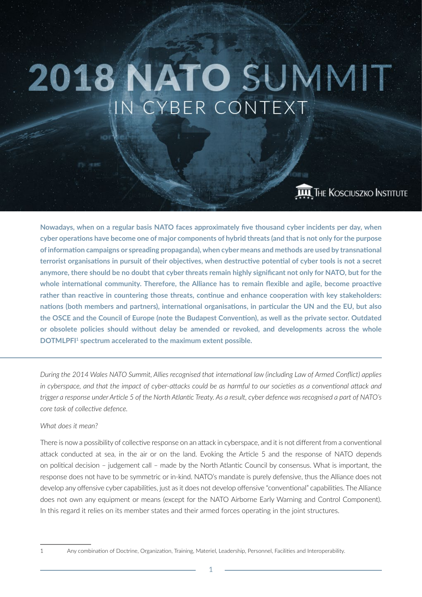# 2018 NATO SUMMIT IN CYBER CONTEXT

# THE KOSCIUSZKO INSTITUTE

**Nowadays, when on a regular basis NATO faces approximately five thousand cyber incidents per day, when cyber operations have become one of major components of hybrid threats (and that is not only for the purpose ofinformation campaigns or spreading propaganda), when cyber means and methods are used by transnational terrorist organisations in pursuit of their objectives, when destructive potential of cyber tools is not a secret anymore, there should be no doubt that cyber threats remain highly significant not only for NATO, but for the whole international community. Therefore, the Alliance has to remain flexible and agile, become proactive rather than reactive in countering those threats, continue and enhance cooperation with key stakeholders: nations (both members and partners), international organisations, in particular the UN and the EU, but also the OSCE and the Council of Europe (note the Budapest Convention), as well as the private sector. Outdated or obsolete policies should without delay be amended or revoked, and developments across the whole DOTMLPFI1 spectrum accelerated to the maximum extent possible.**

*During the 2014 Wales NATO Summit, Allies recognised that international law (including Law of Armed Conflict) applies in cyberspace, and that the impact of cyber-attacks could be as harmful to our societies as a conventional attack and trigger a response under Article 5 of the North Atlantic Treaty. As a result, cyber defence was recognised a part of NATO's core task of collective defence.*

#### *What does it mean?*

There is now a possibility of collective response on an attack in cyberspace, and it is not different from a conventional attack conducted at sea, in the air or on the land. Evoking the Article 5 and the response of NATO depends on political decision – judgement call – made by the North Atlantic Council by consensus. What is important, the response does not have to be symmetric or in-kind. NATO's mandate is purely defensive, thus the Alliance does not develop any offensive cyber capabilities, just as it does not develop offensive "conventional" capabilities. The Alliance does not own any equipment or means (except for the NATO Airborne Early Warning and Control Component). In this regard it relies on its member states and their armed forces operating in the joint structures.

<sup>1</sup> Any combination of Doctrine, Organization, Training, Materiel, Leadership, Personnel, Facilities and Interoperability.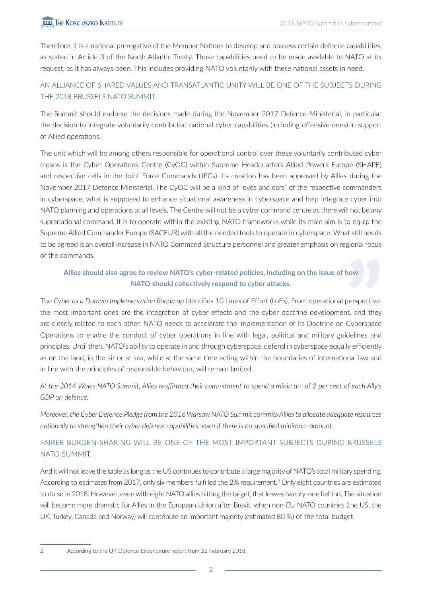Therefore, it is a national prerogative of the Member Nations to develop and possess certain defence capabilities, as stated in Article 3 of the North Atlantic Treaty. Those capabilities need to be made available to NATO at its request, as it has always been. This includes providing NATO voluntarily with these national assets in need.

# AN ALLIANCE OF SHARED VALUES AND TRANSATLANTIC UNITY WILL BE ONE OF THE SUBJECTS DURING THE 2018 BRUSSELS NATO SUMMIT.

The Summit should endorse the decisions made during the November 2017 Defence Ministerial, in particular the decision to integrate voluntarily contributed national cyber capabilities (including offensive ones) in support of Allied operations.

The unit which will be among others responsible for operational control over these voluntarily contributed cyber means is the Cyber Operations Centre (CyOC) within Supreme Headquarters Allied Powers Europe (SHAPE) and respective cells in the Joint Force Commands (JFCs). Its creation has been approved by Allies during the November 2017 Defence Ministerial. The CyOC will be a kind of "eyes and ears" of the respective commanders in cyberspace, what is supposed to enhance situational awareness in cyberspace and help integrate cyber into NATO planning and operations at all levels. The Centre will not be a cyber command centre as there will not be any supranational command. It is to operate within the existing NATO frameworks while its main aim is to equip the Supreme Allied Commander Europe (SACEUR) with all the needed tools to operate in cyberspace. What still needs to be agreed is an overall increase in NATO Command Structure personnel and greater emphasis on regional focus of the commands.

## **Allies should also agree to review NATO's cyber-related policies, including on the issue of how NATO should collectively respond to cyber attacks.**

The *Cyber as a Domain Implementation Roadmap* identifies 10 Lines of Effort (LoEs). From operational perspective, the most important ones are the integration of cyber effects and the cyber doctrine development, and they are closely related to each other. NATO needs to accelerate the implementation of its Doctrine on Cyberspace Operations to enable the conduct of cyber operations in line with legal, political and military guidelines and principles. Until then, NATO's ability to operate in and through cyberspace, defend in cyberspace equally efficiently as on the land, in the air or at sea, while at the same time acting within the boundaries of international law and in line with the principles of responsible behaviour, will remain limited.

*At the 2014 Wales NATO Summit, Allies reaffirmed their commitment to spend a minimum of 2 per cent of each Ally's GDP on defence.* 

*Moreover, the Cyber Defence Pledge from the 2016 Warsaw NATO Summit commits Allies to allocate adequate resources nationally to strengthen their cyber defence capabilities, even if there is no specified minimum amount.*

# FAIRER BURDEN-SHARING WILL BE ONE OF THE MOST IMPORTANT SUBJECTS DURING BRUSSELS NATO SUMMIT.

And it will not leave the table as long as the US continues to contribute a large majority of NATO's total military spending. According to estimates from 2017, only six members fulfilled the 2% requirement.<sup>2</sup> Only eight countries are estimated to do so in 2018. However, even with eight NATO allies hitting the target, that leaves twenty-one behind. The situation will become more dramatic for Allies in the European Union after Brexit, when non-EU NATO countries (the US, the UK, Turkey, Canada and Norway) will contribute an important majority (estimated 80 %) of the total budget.

<sup>2</sup> According to the UK Defence Expenditure report from 22 February 2018.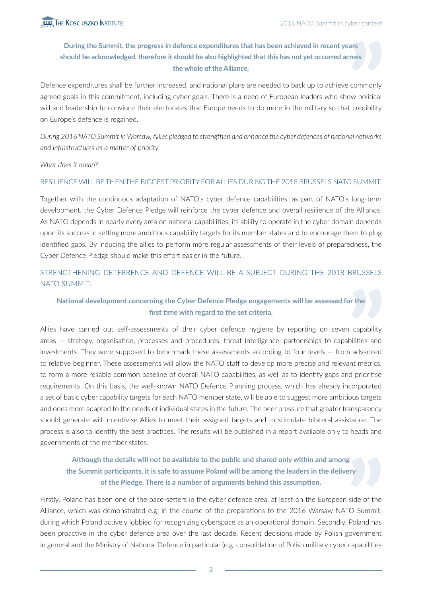#### **During the Summit, the progress in defence expenditures that has been achieved in recent years should be acknowledged, therefore it should be also highlighted that this has not yet occurred across the whole of the Alliance.**

Defence expenditures shall be further increased, and national plans are needed to back up to achieve commonly agreed goals in this commitment, including cyber goals. There is a need of European leaders who show political will and leadership to convince their electorates that Europe needs to do more in the military so that credibility on Europe's defence is regained.

*During 2016 NATO Summit in Warsaw, Allies pledged to strengthen and enhance the cyber defences of national networks and infrastructures as a matter of priority.* 

*What does it mean?*

#### RESILIENCE WILL BE THEN THE BIGGEST PRIORITY FOR ALLIES DURING THE 2018 BRUSSELS NATO SUMMIT.

Together with the continuous adaptation of NATO's cyber defence capabilities, as part of NATO's long-term development, the Cyber Defence Pledge will reinforce the cyber defence and overall resilience of the Alliance. As NATO depends in nearly every area on national capabilities, its ability to operate in the cyber domain depends upon its success in setting more ambitious capability targets for its member states and to encourage them to plug identified gaps. By inducing the allies to perform more regular assessments of their levels of preparedness, the Cyber Defence Pledge should make this effort easier in the future.

#### STRENGTHENING DETERRENCE AND DEFENCE WILL BE A SUBJECT DURING THE 2018 BRUSSELS NATO SUMMIT.

#### **National development concerning the Cyber Defence Pledge engagements will be assessed for the first time with regard to the set criteria.**

Allies have carried out self-assessments of their cyber defence hygiene by reporting on seven capability areas — strategy, organisation, processes and procedures, threat intelligence, partnerships to capabilities and investments. They were supposed to benchmark these assessments according to four levels — from advanced to relative beginner. These assessments will allow the NATO staff to develop more precise and relevant metrics, to form a more reliable common baseline of overall NATO capabilities, as well as to identify gaps and prioritise requirements. On this basis, the well-known NATO Defence Planning process, which has already incorporated a set of basic cyber capability targets for each NATO member state, will be able to suggest more ambitious targets and ones more adapted to the needs of individual states in the future. The peer pressure that greater transparency should generate will incentivise Allies to meet their assigned targets and to stimulate bilateral assistance. The process is also to identify the best practices. The results will be published in a report available only to heads and governments of the member states.

#### **Although the details will not be available to the public and shared only within and among the Summit participants, it is safe to assume Poland will be among the leaders in the delivery of the Pledge. There is a number of arguments behind this assumption.**

Firstly, Poland has been one of the pace-setters in the cyber defence area, at least on the European side of the Alliance, which was demonstrated e.g. in the course of the preparations to the 2016 Warsaw NATO Summit, during which Poland actively lobbied for recognizing cyberspace as an operational domain. Secondly, Poland has been proactive in the cyber defence area over the last decade. Recent decisions made by Polish government in general and the Ministry of National Defence in particular (e.g. consolidation of Polish military cyber capabilities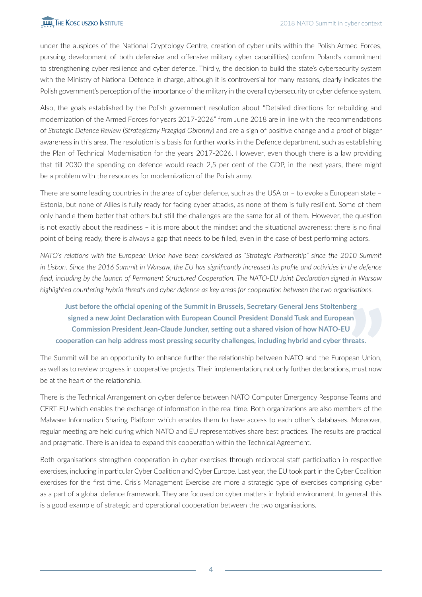under the auspices of the National Cryptology Centre, creation of cyber units within the Polish Armed Forces, pursuing development of both defensive and offensive military cyber capabilities) confirm Poland's commitment to strengthening cyber resilience and cyber defence. Thirdly, the decision to build the state's cybersecurity system with the Ministry of National Defence in charge, although it is controversial for many reasons, clearly indicates the Polish government's perception of the importance of the military in the overall cybersecurity or cyber defence system.

Also, the goals established by the Polish government resolution about "Detailed directions for rebuilding and modernization of the Armed Forces for years 2017-2026" from June 2018 are in line with the recommendations of *Strategic Defence Review* (*Strategiczny Przegląd Obronny*) and are a sign of positive change and a proof of bigger awareness in this area. The resolution is a basis for further works in the Defence department, such as establishing the Plan of Technical Modernisation for the years 2017-2026. However, even though there is a law providing that till 2030 the spending on defence would reach 2,5 per cent of the GDP, in the next years, there might be a problem with the resources for modernization of the Polish army.

There are some leading countries in the area of cyber defence, such as the USA or – to evoke a European state – Estonia, but none of Allies is fully ready for facing cyber attacks, as none of them is fully resilient. Some of them only handle them better that others but still the challenges are the same for all of them. However, the question is not exactly about the readiness – it is more about the mindset and the situational awareness: there is no final point of being ready, there is always a gap that needs to be filled, even in the case of best performing actors.

*NATO's relations with the European Union have been considered as "Strategic Partnership" since the 2010 Summit in Lisbon. Since the 2016 Summit in Warsaw, the EU has significantly increased its profile and activities in the defence field, including by the launch of Permanent Structured Cooperation. The NATO-EU Joint Declaration signed in Warsaw highlighted countering hybrid threats and cyber defence as key areas for cooperation between the two organisations.*

**Just before the official opening of the Summit in Brussels, Secretary General Jens Stoltenberg signed a new Joint Declaration with European Council President Donald Tusk and European Commission President Jean-Claude Juncker, setting out a shared vision of how NATO-EU cooperation can help address most pressing security challenges, including hybrid and cyber threats.** 

The Summit will be an opportunity to enhance further the relationship between NATO and the European Union, as well as to review progress in cooperative projects. Their implementation, not only further declarations, must now be at the heart of the relationship.

There is the Technical Arrangement on cyber defence between NATO Computer Emergency Response Teams and CERT-EU which enables the exchange of information in the real time. Both organizations are also members of the Malware Information Sharing Platform which enables them to have access to each other's databases. Moreover, regular meeting are held during which NATO and EU representatives share best practices. The results are practical and pragmatic. There is an idea to expand this cooperation within the Technical Agreement.

Both organisations strengthen cooperation in cyber exercises through reciprocal staff participation in respective exercises, including in particular Cyber Coalition and Cyber Europe. Last year, the EU took part in the Cyber Coalition exercises for the first time. Crisis Management Exercise are more a strategic type of exercises comprising cyber as a part of a global defence framework. They are focused on cyber matters in hybrid environment. In general, this is a good example of strategic and operational cooperation between the two organisations.

4